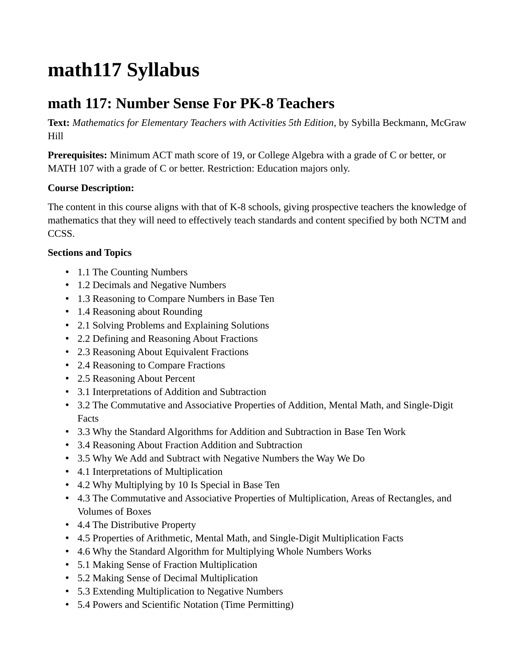## **math117 Syllabus**

## **math 117: Number Sense For PK-8 Teachers**

**Text:** *Mathematics for Elementary Teachers with Activities 5th Edition*, by Sybilla Beckmann, McGraw Hill

**Prerequisites:** Minimum ACT math score of 19, or College Algebra with a grade of C or better, or MATH 107 with a grade of C or better. Restriction: Education majors only.

## **Course Description:**

The content in this course aligns with that of K-8 schools, giving prospective teachers the knowledge of mathematics that they will need to effectively teach standards and content specified by both NCTM and CCSS.

## **Sections and Topics**

- 1.1 The Counting Numbers
- 1.2 Decimals and Negative Numbers
- 1.3 Reasoning to Compare Numbers in Base Ten
- 1.4 Reasoning about Rounding
- 2.1 Solving Problems and Explaining Solutions
- 2.2 Defining and Reasoning About Fractions
- 2.3 Reasoning About Equivalent Fractions
- 2.4 Reasoning to Compare Fractions
- 2.5 Reasoning About Percent
- 3.1 Interpretations of Addition and Subtraction
- 3.2 The Commutative and Associative Properties of Addition, Mental Math, and Single-Digit Facts
- 3.3 Why the Standard Algorithms for Addition and Subtraction in Base Ten Work
- 3.4 Reasoning About Fraction Addition and Subtraction
- 3.5 Why We Add and Subtract with Negative Numbers the Way We Do
- 4.1 Interpretations of Multiplication
- 4.2 Why Multiplying by 10 Is Special in Base Ten
- 4.3 The Commutative and Associative Properties of Multiplication, Areas of Rectangles, and Volumes of Boxes
- 4.4 The Distributive Property
- 4.5 Properties of Arithmetic, Mental Math, and Single-Digit Multiplication Facts
- 4.6 Why the Standard Algorithm for Multiplying Whole Numbers Works
- 5.1 Making Sense of Fraction Multiplication
- 5.2 Making Sense of Decimal Multiplication
- 5.3 Extending Multiplication to Negative Numbers
- 5.4 Powers and Scientific Notation (Time Permitting)